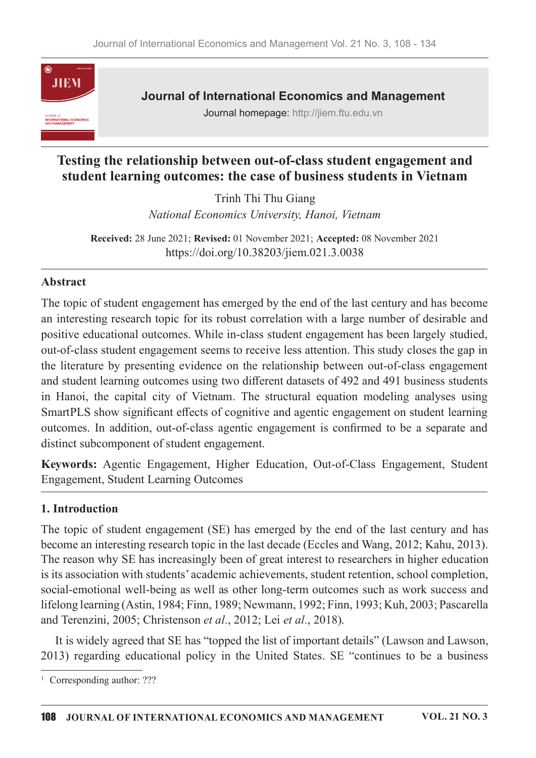

**Journal of International Economics and Management** 

Journal homepage: http://jiem.ftu.edu.vn

# Testing the relationship between out-of-class student engagement and student learning outcomes: the case of business students in Vietnam

Trinh Thi Thu Giang National Economics University, Hanoi, Vietnam

Received: 28 June 2021; Revised: 01 November 2021; Accepted: 08 November 2021 https://doi.org/10.38203/jiem.021.3.0038

#### Abstract

The topic of student engagement has emerged by the end of the last century and has become an interesting research topic for its robust correlation with a large number of desirable and positive educational outcomes. While in-class student engagement has been largely studied, out-of-class student engagement seems to receive less attention. This study closes the gap in the literature by presenting evidence on the relationship between out-of-class engagement and student learning outcomes using two different datasets of 492 and 491 business students in Hanoi, the capital city of Vietnam. The structural equation modeling analyses using SmartPLS show significant effects of cognitive and agentic engagement on student learning outcomes. In addition, out-of-class agentic engagement is confirmed to be a separate and distinct subcomponent of student engagement.

Keywords: Agentic Engagement, Higher Education, Out-of-Class Engagement, Student **Engagement, Student Learning Outcomes** 

#### 1. Introduction

The topic of student engagement (SE) has emerged by the end of the last century and has become an interesting research topic in the last decade (Eccles and Wang, 2012; Kahu, 2013). The reason why SE has increasingly been of great interest to researchers in higher education is its association with students' academic achievements, student retention, school completion, social-emotional well-being as well as other long-term outcomes such as work success and lifelong learning (Astin, 1984; Finn, 1989; Newmann, 1992; Finn, 1993; Kuh, 2003; Pascarella and Terenzini, 2005; Christenson et al., 2012; Lei et al., 2018).

It is widely agreed that SE has "topped the list of important details" (Lawson and Lawson, 2013) regarding educational policy in the United States. SE "continues to be a business

<sup>&</sup>lt;sup>1</sup> Corresponding author:  $??$ ?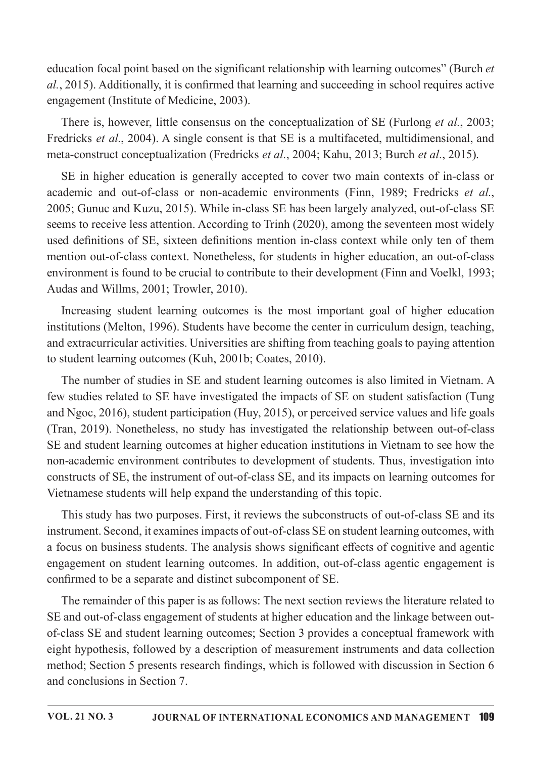education focal point based on the significant relationship with learning outcomes" (Burch et al., 2015). Additionally, it is confirmed that learning and succeeding in school requires active engagement (Institute of Medicine, 2003).

There is, however, little consensus on the conceptualization of SE (Furlong *et al.*, 2003; Fredricks et al., 2004). A single consent is that SE is a multifaceted, multidimensional, and meta-construct conceptualization (Fredricks et al., 2004; Kahu, 2013; Burch et al., 2015).

SE in higher education is generally accepted to cover two main contexts of in-class or academic and out-of-class or non-academic environments (Finn, 1989; Fredricks et al., 2005; Gunuc and Kuzu, 2015). While in-class SE has been largely analyzed, out-of-class SE seems to receive less attention. According to Trinh (2020), among the seventeen most widely used definitions of SE, sixteen definitions mention in-class context while only ten of them mention out-of-class context. Nonetheless, for students in higher education, an out-of-class environment is found to be crucial to contribute to their development (Finn and Voelkl, 1993; Audas and Willms, 2001; Trowler, 2010).

Increasing student learning outcomes is the most important goal of higher education institutions (Melton, 1996). Students have become the center in curriculum design, teaching, and extracurricular activities. Universities are shifting from teaching goals to paying attention to student learning outcomes (Kuh, 2001b; Coates, 2010).

The number of studies in SE and student learning outcomes is also limited in Vietnam. A few studies related to SE have investigated the impacts of SE on student satisfaction (Tung and Ngoc, 2016), student participation (Huy, 2015), or perceived service values and life goals (Tran, 2019). Nonetheless, no study has investigated the relationship between out-of-class SE and student learning outcomes at higher education institutions in Vietnam to see how the non-academic environment contributes to development of students. Thus, investigation into constructs of SE, the instrument of out-of-class SE, and its impacts on learning outcomes for Vietnamese students will help expand the understanding of this topic.

This study has two purposes. First, it reviews the subconstructs of out-of-class SE and its instrument. Second, it examines impacts of out-of-class SE on student learning outcomes, with a focus on business students. The analysis shows significant effects of cognitive and agentic engagement on student learning outcomes. In addition, out-of-class agentic engagement is confirmed to be a separate and distinct subcomponent of SE.

The remainder of this paper is as follows: The next section reviews the literature related to SE and out-of-class engagement of students at higher education and the linkage between outof-class SE and student learning outcomes; Section 3 provides a conceptual framework with eight hypothesis, followed by a description of measurement instruments and data collection method; Section 5 presents research findings, which is followed with discussion in Section 6 and conclusions in Section 7.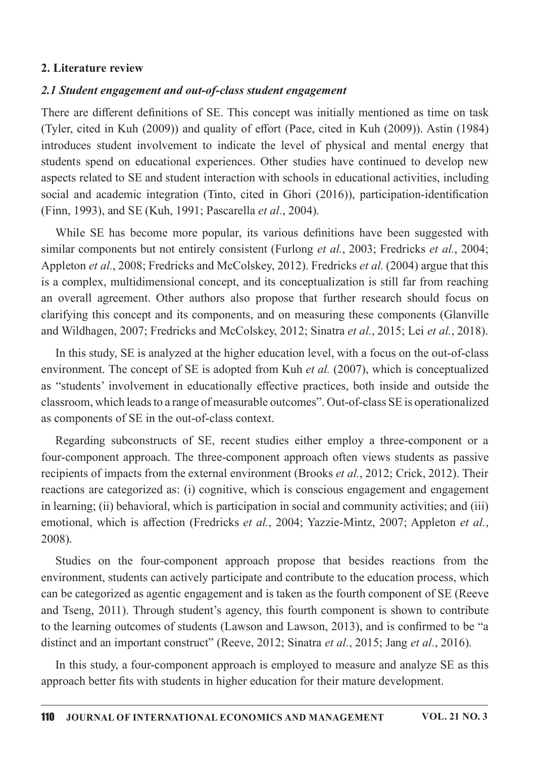#### 2. Literature review

#### 2.1 Student engagement and out-of-class student engagement

There are different definitions of SE. This concept was initially mentioned as time on task (Tyler, cited in Kuh (2009)) and quality of effort (Pace, cited in Kuh (2009)). Astin (1984) introduces student involvement to indicate the level of physical and mental energy that students spend on educational experiences. Other studies have continued to develop new aspects related to SE and student interaction with schools in educational activities, including social and academic integration (Tinto, cited in Ghori (2016)), participation-identification (Finn, 1993), and SE (Kuh, 1991; Pascarella et al., 2004).

While SE has become more popular, its various definitions have been suggested with similar components but not entirely consistent (Furlong *et al.*, 2003; Fredricks *et al.*, 2004; Appleton et al., 2008; Fredricks and McColskey, 2012). Fredricks et al. (2004) argue that this is a complex, multidimensional concept, and its conceptualization is still far from reaching an overall agreement. Other authors also propose that further research should focus on clarifying this concept and its components, and on measuring these components (Glanville and Wildhagen, 2007; Fredricks and McColskey, 2012; Sinatra et al., 2015; Lei et al., 2018).

In this study, SE is analyzed at the higher education level, with a focus on the out-of-class environment. The concept of SE is adopted from Kuh *et al.* (2007), which is conceptualized as "students' involvement in educationally effective practices, both inside and outside the classroom, which leads to a range of measurable outcomes". Out-of-class SE is operationalized as components of SE in the out-of-class context.

Regarding subconstructs of SE, recent studies either employ a three-component or a four-component approach. The three-component approach often views students as passive recipients of impacts from the external environment (Brooks et al., 2012; Crick, 2012). Their reactions are categorized as: (i) cognitive, which is conscious engagement and engagement in learning; (ii) behavioral, which is participation in social and community activities; and (iii) emotional, which is affection (Fredricks et al., 2004; Yazzie-Mintz, 2007; Appleton et al., 2008).

Studies on the four-component approach propose that besides reactions from the environment, students can actively participate and contribute to the education process, which can be categorized as agentic engagement and is taken as the fourth component of SE (Reeve and Tseng, 2011). Through student's agency, this fourth component is shown to contribute to the learning outcomes of students (Lawson and Lawson, 2013), and is confirmed to be "a distinct and an important construct" (Reeve, 2012; Sinatra et al., 2015; Jang et al., 2016).

In this study, a four-component approach is employed to measure and analyze SE as this approach better fits with students in higher education for their mature development.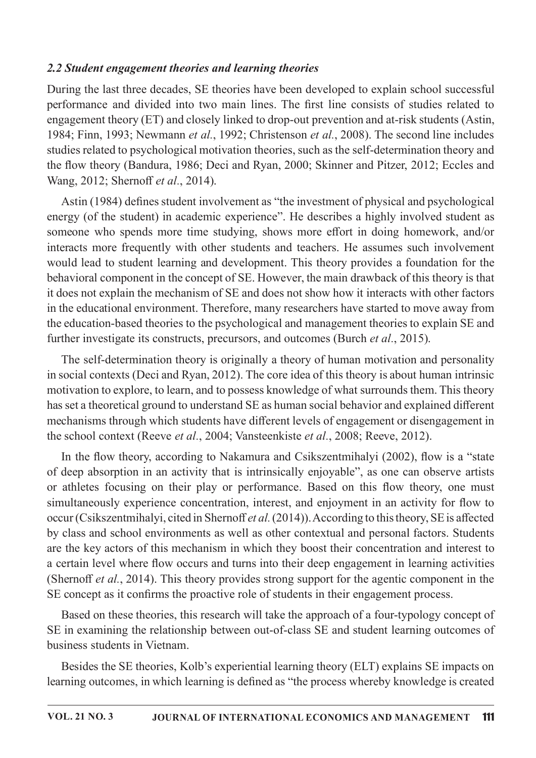#### 2.2 Student engagement theories and learning theories

During the last three decades, SE theories have been developed to explain school successful performance and divided into two main lines. The first line consists of studies related to engagement theory (ET) and closely linked to drop-out prevention and at-risk students (Astin, 1984; Finn, 1993; Newmann et al., 1992; Christenson et al., 2008). The second line includes studies related to psychological motivation theories, such as the self-determination theory and the flow theory (Bandura, 1986; Deci and Ryan, 2000; Skinner and Pitzer, 2012; Eccles and Wang, 2012; Shernoff et al., 2014).

Astin (1984) defines student involvement as "the investment of physical and psychological energy (of the student) in academic experience". He describes a highly involved student as someone who spends more time studying, shows more effort in doing homework, and/or interacts more frequently with other students and teachers. He assumes such involvement would lead to student learning and development. This theory provides a foundation for the behavioral component in the concept of SE. However, the main drawback of this theory is that it does not explain the mechanism of SE and does not show how it interacts with other factors in the educational environment. Therefore, many researchers have started to move away from the education-based theories to the psychological and management theories to explain SE and further investigate its constructs, precursors, and outcomes (Burch *et al.*, 2015).

The self-determination theory is originally a theory of human motivation and personality in social contexts (Deci and Ryan, 2012). The core idea of this theory is about human intrinsic motivation to explore, to learn, and to possess knowledge of what surrounds them. This theory has set a theoretical ground to understand SE as human social behavior and explained different mechanisms through which students have different levels of engagement or disengagement in the school context (Reeve et al., 2004; Vansteenkiste et al., 2008; Reeve, 2012).

In the flow theory, according to Nakamura and Csikszentmihalyi (2002), flow is a "state of deep absorption in an activity that is intrinsically enjoyable", as one can observe artists or athletes focusing on their play or performance. Based on this flow theory, one must simultaneously experience concentration, interest, and enjoyment in an activity for flow to occur (Csikszentmihalyi, cited in Shernoff et al. (2014)). According to this theory, SE is affected by class and school environments as well as other contextual and personal factors. Students are the key actors of this mechanism in which they boost their concentration and interest to a certain level where flow occurs and turns into their deep engagement in learning activities (Shernoff et al., 2014). This theory provides strong support for the agentic component in the SE concept as it confirms the proactive role of students in their engagement process.

Based on these theories, this research will take the approach of a four-typology concept of SE in examining the relationship between out-of-class SE and student learning outcomes of business students in Vietnam.

Besides the SE theories, Kolb's experiential learning theory (ELT) explains SE impacts on learning outcomes, in which learning is defined as "the process whereby knowledge is created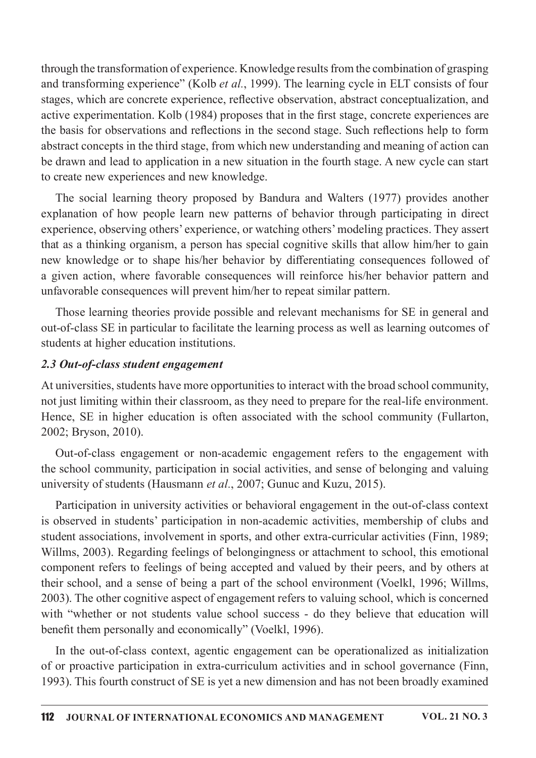through the transformation of experience. Knowledge results from the combination of grasping and transforming experience" (Kolb et al., 1999). The learning cycle in ELT consists of four stages, which are concrete experience, reflective observation, abstract conceptualization, and active experimentation. Kolb (1984) proposes that in the first stage, concrete experiences are the basis for observations and reflections in the second stage. Such reflections help to form abstract concepts in the third stage, from which new understanding and meaning of action can be drawn and lead to application in a new situation in the fourth stage. A new cycle can start to create new experiences and new knowledge.

The social learning theory proposed by Bandura and Walters (1977) provides another explanation of how people learn new patterns of behavior through participating in direct experience, observing others' experience, or watching others' modeling practices. They assert that as a thinking organism, a person has special cognitive skills that allow him/her to gain new knowledge or to shape his/her behavior by differentiating consequences followed of a given action, where favorable consequences will reinforce his/her behavior pattern and unfavorable consequences will prevent him/her to repeat similar pattern.

Those learning theories provide possible and relevant mechanisms for SE in general and out-of-class SE in particular to facilitate the learning process as well as learning outcomes of students at higher education institutions.

## 2.3 Out-of-class student engagement

At universities, students have more opportunities to interact with the broad school community, not just limiting within their classroom, as they need to prepare for the real-life environment. Hence, SE in higher education is often associated with the school community (Fullarton, 2002; Bryson, 2010).

Out-of-class engagement or non-academic engagement refers to the engagement with the school community, participation in social activities, and sense of belonging and valuing university of students (Hausmann et al., 2007; Gunuc and Kuzu, 2015).

Participation in university activities or behavioral engagement in the out-of-class context is observed in students' participation in non-academic activities, membership of clubs and student associations, involvement in sports, and other extra-curricular activities (Finn, 1989; Willms, 2003). Regarding feelings of belongingness or attachment to school, this emotional component refers to feelings of being accepted and valued by their peers, and by others at their school, and a sense of being a part of the school environment (Voelkl, 1996; Willms, 2003). The other cognitive aspect of engagement refers to valuing school, which is concerned with "whether or not students value school success - do they believe that education will benefit them personally and economically" (Voelkl, 1996).

In the out-of-class context, agentic engagement can be operationalized as initialization of or proactive participation in extra-curriculum activities and in school governance (Finn, 1993). This fourth construct of SE is yet a new dimension and has not been broadly examined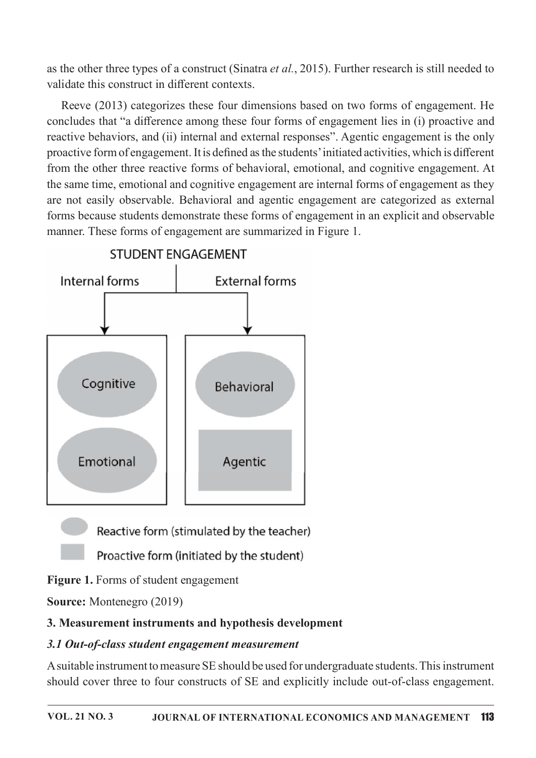as the other three types of a construct (Sinatra et al., 2015). Further research is still needed to validate this construct in different contexts

Reeve (2013) categorizes these four dimensions based on two forms of engagement. He concludes that "a difference among these four forms of engagement lies in (i) proactive and reactive behaviors, and (ii) internal and external responses". Agentic engagement is the only proactive form of engagement. It is defined as the students' initiated activities, which is different from the other three reactive forms of behavioral, emotional, and cognitive engagement. At the same time, emotional and cognitive engagement are internal forms of engagement as they are not easily observable. Behavioral and agentic engagement are categorized as external forms because students demonstrate these forms of engagement in an explicit and observable manner. These forms of engagement are summarized in Figure 1.



Reactive form (stimulated by the teacher)

Proactive form (initiated by the student)

Figure 1. Forms of student engagement

**Source:** Montenegro (2019)

# 3. Measurement instruments and hypothesis development

# 3.1 Out-of-class student engagement measurement

A suitable instrument to measure SE should be used for undergraduate students. This instrument should cover three to four constructs of SE and explicitly include out-of-class engagement.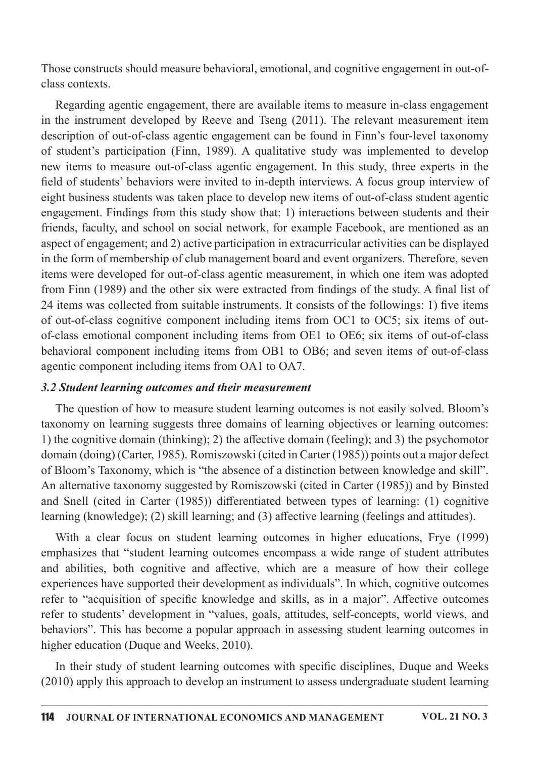Those constructs should measure behavioral, emotional, and cognitive engagement in out-ofclass contexts.

Regarding agentic engagement, there are available items to measure in-class engagement in the instrument developed by Reeve and Tseng (2011). The relevant measurement item description of out-of-class agentic engagement can be found in Finn's four-level taxonomy of student's participation (Finn, 1989). A qualitative study was implemented to develop new items to measure out-of-class agentic engagement. In this study, three experts in the field of students' behaviors were invited to in-depth interviews. A focus group interview of eight business students was taken place to develop new items of out-of-class student agentic engagement. Findings from this study show that: 1) interactions between students and their friends, faculty, and school on social network, for example Facebook, are mentioned as an aspect of engagement; and 2) active participation in extracurricular activities can be displayed in the form of membership of club management board and event organizers. Therefore, seven items were developed for out-of-class agentic measurement, in which one item was adopted from Finn (1989) and the other six were extracted from findings of the study. A final list of 24 items was collected from suitable instruments. It consists of the followings: 1) five items of out-of-class cognitive component including items from OC1 to OC5; six items of outof-class emotional component including items from OE1 to OE6; six items of out-of-class behavioral component including items from OB1 to OB6; and seven items of out-of-class agentic component including items from OA1 to OA7.

#### 3.2 Student learning outcomes and their measurement

The question of how to measure student learning outcomes is not easily solved. Bloom's taxonomy on learning suggests three domains of learning objectives or learning outcomes: 1) the cognitive domain (thinking); 2) the affective domain (feeling); and 3) the psychomotor domain (doing) (Carter, 1985). Romiszowski (cited in Carter (1985)) points out a major defect of Bloom's Taxonomy, which is "the absence of a distinction between knowledge and skill". An alternative taxonomy suggested by Romiszowski (cited in Carter (1985)) and by Binsted and Snell (cited in Carter (1985)) differentiated between types of learning: (1) cognitive learning (knowledge); (2) skill learning; and (3) affective learning (feelings and attitudes).

With a clear focus on student learning outcomes in higher educations, Frye (1999) emphasizes that "student learning outcomes encompass a wide range of student attributes and abilities, both cognitive and affective, which are a measure of how their college experiences have supported their development as individuals". In which, cognitive outcomes refer to "acquisition of specific knowledge and skills, as in a major". Affective outcomes refer to students' development in "values, goals, attitudes, self-concepts, world views, and behaviors". This has become a popular approach in assessing student learning outcomes in higher education (Duque and Weeks, 2010).

In their study of student learning outcomes with specific disciplines, Duque and Weeks  $(2010)$  apply this approach to develop an instrument to assess undergraduate student learning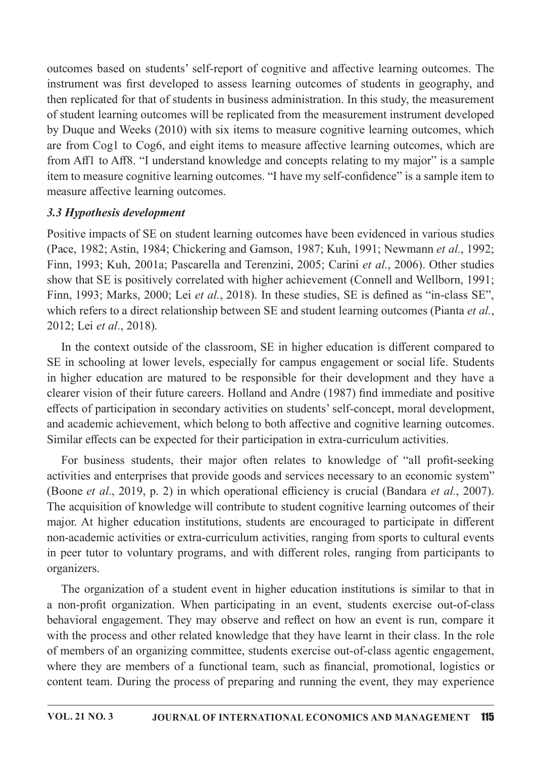outcomes based on students' self-report of cognitive and affective learning outcomes. The instrument was first developed to assess learning outcomes of students in geography, and then replicated for that of students in business administration. In this study, the measurement of student learning outcomes will be replicated from the measurement instrument developed by Duque and Weeks (2010) with six items to measure cognitive learning outcomes, which are from Cog1 to Cog6, and eight items to measure affective learning outcomes, which are from Aff1 to Aff8. "I understand knowledge and concepts relating to my major" is a sample item to measure cognitive learning outcomes. "I have my self-confidence" is a sample item to measure affective learning outcomes.

## 3.3 Hypothesis development

Positive impacts of SE on student learning outcomes have been evidenced in various studies (Pace, 1982; Astin, 1984; Chickering and Gamson, 1987; Kuh, 1991; Newmann et al., 1992; Finn, 1993; Kuh, 2001a; Pascarella and Terenzini, 2005; Carini et al., 2006). Other studies show that SE is positively correlated with higher achievement (Connell and Wellborn, 1991; Finn, 1993; Marks, 2000; Lei et al., 2018). In these studies, SE is defined as "in-class SE", which refers to a direct relationship between SE and student learning outcomes (Pianta et al., 2012; Lei et al., 2018).

In the context outside of the classroom, SE in higher education is different compared to SE in schooling at lower levels, especially for campus engagement or social life. Students in higher education are matured to be responsible for their development and they have a clearer vision of their future careers. Holland and Andre (1987) find immediate and positive effects of participation in secondary activities on students' self-concept, moral development, and academic achievement, which belong to both affective and cognitive learning outcomes. Similar effects can be expected for their participation in extra-curriculum activities.

For business students, their major often relates to knowledge of "all profit-seeking" activities and enterprises that provide goods and services necessary to an economic system" (Boone *et al.*, 2019, p. 2) in which operational efficiency is crucial (Bandara *et al.*, 2007). The acquisition of knowledge will contribute to student cognitive learning outcomes of their major. At higher education institutions, students are encouraged to participate in different non-academic activities or extra-curriculum activities, ranging from sports to cultural events in peer tutor to voluntary programs, and with different roles, ranging from participants to organizers.

The organization of a student event in higher education institutions is similar to that in a non-profit organization. When participating in an event, students exercise out-of-class behavioral engagement. They may observe and reflect on how an event is run, compare it with the process and other related knowledge that they have learnt in their class. In the role of members of an organizing committee, students exercise out-of-class agentic engagement, where they are members of a functional team, such as financial, promotional, logistics or content team. During the process of preparing and running the event, they may experience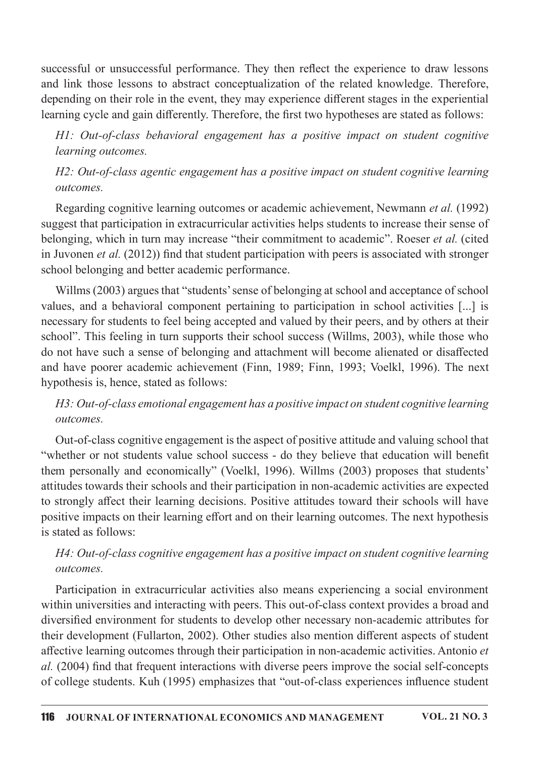successful or unsuccessful performance. They then reflect the experience to draw lessons and link those lessons to abstract conceptualization of the related knowledge. Therefore, depending on their role in the event, they may experience different stages in the experiential learning cycle and gain differently. Therefore, the first two hypotheses are stated as follows:

H1: Out-of-class behavioral engagement has a positive impact on student cognitive learning outcomes.

H2: Out-of-class agentic engagement has a positive impact on student cognitive learning outcomes

Regarding cognitive learning outcomes or academic achievement, Newmann *et al.* (1992) suggest that participation in extracurricular activities helps students to increase their sense of belonging, which in turn may increase "their commitment to academic". Roeser *et al.* (cited in Juvonen *et al.* (2012)) find that student participation with peers is associated with stronger school belonging and better academic performance.

Willms (2003) argues that "students' sense of belonging at school and acceptance of school values, and a behavioral component pertaining to participation in school activities [...] is necessary for students to feel being accepted and valued by their peers, and by others at their school". This feeling in turn supports their school success (Willms, 2003), while those who do not have such a sense of belonging and attachment will become alienated or disaffected and have poorer academic achievement (Finn, 1989; Finn, 1993; Voelkl, 1996). The next hypothesis is, hence, stated as follows:

# H3: Out-of-class emotional engagement has a positive impact on student cognitive learning outcomes.

Out-of-class cognitive engagement is the aspect of positive attitude and valuing school that "whether or not students value school success - do they believe that education will benefit them personally and economically" (Voelkl, 1996). Willms (2003) proposes that students' attitudes towards their schools and their participation in non-academic activities are expected to strongly affect their learning decisions. Positive attitudes toward their schools will have positive impacts on their learning effort and on their learning outcomes. The next hypothesis is stated as follows:

# H4: Out-of-class cognitive engagement has a positive impact on student cognitive learning outcomes.

Participation in extracurricular activities also means experiencing a social environment within universities and interacting with peers. This out-of-class context provides a broad and diversified environment for students to develop other necessary non-academic attributes for their development (Fullarton, 2002). Other studies also mention different aspects of student affective learning outcomes through their participation in non-academic activities. Antonio et al. (2004) find that frequent interactions with diverse peers improve the social self-concepts of college students. Kuh (1995) emphasizes that "out-of-class experiences influence student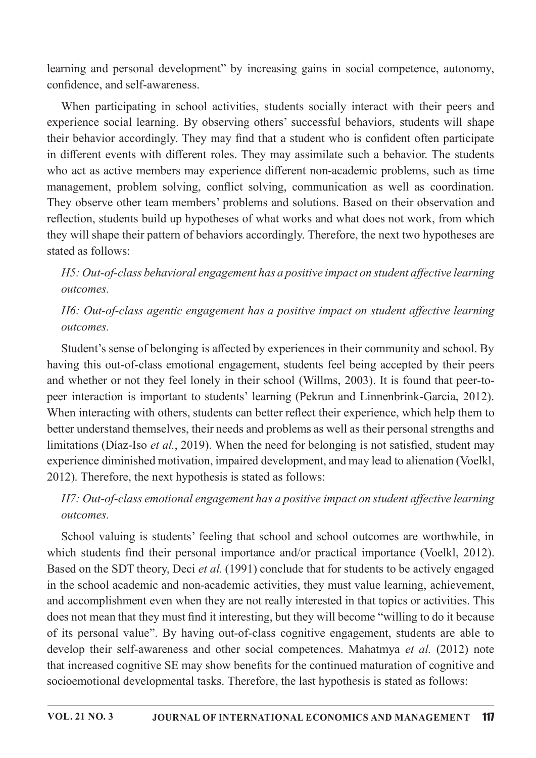learning and personal development" by increasing gains in social competence, autonomy, confidence, and self-awareness.

When participating in school activities, students socially interact with their peers and experience social learning. By observing others' successful behaviors, students will shape their behavior accordingly. They may find that a student who is confident often participate in different events with different roles. They may assimilate such a behavior. The students who act as active members may experience different non-academic problems, such as time management, problem solving, conflict solving, communication as well as coordination. They observe other team members' problems and solutions. Based on their observation and reflection, students build up hypotheses of what works and what does not work, from which they will shape their pattern of behaviors accordingly. Therefore, the next two hypotheses are stated as follows:

H5: Out-of-class behavioral engagement has a positive impact on student affective learning outcomes.

# H6: Out-of-class agentic engagement has a positive impact on student affective learning outcomes.

Student's sense of belonging is affected by experiences in their community and school. By having this out-of-class emotional engagement, students feel being accepted by their peers and whether or not they feel lonely in their school (Willms, 2003). It is found that peer-topeer interaction is important to students' learning (Pekrun and Linnenbrink-Garcia, 2012). When interacting with others, students can better reflect their experience, which help them to better understand themselves, their needs and problems as well as their personal strengths and limitations (Díaz-Iso *et al.*, 2019). When the need for belonging is not satisfied, student may experience diminished motivation, impaired development, and may lead to alienation (Voelkl, 2012). Therefore, the next hypothesis is stated as follows:

# H7: Out-of-class emotional engagement has a positive impact on student affective learning outcomes.

School valuing is students' feeling that school and school outcomes are worthwhile, in which students find their personal importance and/or practical importance (Voelkl, 2012). Based on the SDT theory, Deci et al. (1991) conclude that for students to be actively engaged in the school academic and non-academic activities, they must value learning, achievement, and accomplishment even when they are not really interested in that topics or activities. This does not mean that they must find it interesting, but they will become "willing to do it because of its personal value". By having out-of-class cognitive engagement, students are able to develop their self-awareness and other social competences. Mahatmya et al. (2012) note that increased cognitive SE may show benefits for the continued maturation of cognitive and socioemotional developmental tasks. Therefore, the last hypothesis is stated as follows: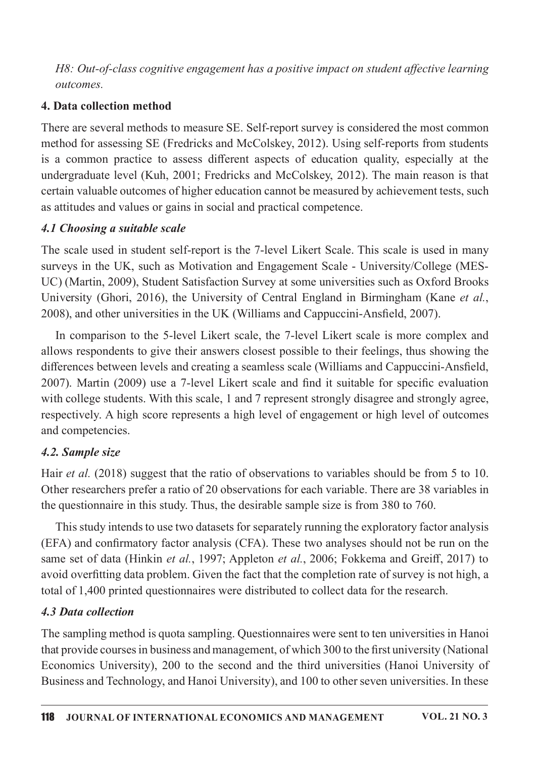H8: Out-of-class cognitive engagement has a positive impact on student affective learning outcomes.

## 4. Data collection method

There are several methods to measure SE. Self-report survey is considered the most common method for assessing SE (Fredricks and McColskey, 2012). Using self-reports from students is a common practice to assess different aspects of education quality, especially at the undergraduate level (Kuh, 2001; Fredricks and McColskey, 2012). The main reason is that certain valuable outcomes of higher education cannot be measured by achievement tests, such as attitudes and values or gains in social and practical competence.

## 4.1 Choosing a suitable scale

The scale used in student self-report is the 7-level Likert Scale. This scale is used in many surveys in the UK, such as Motivation and Engagement Scale - University/College (MES-UC) (Martin, 2009), Student Satisfaction Survey at some universities such as Oxford Brooks University (Ghori, 2016), the University of Central England in Birmingham (Kane et al., 2008), and other universities in the UK (Williams and Cappuccini-Ansfield, 2007).

In comparison to the 5-level Likert scale, the 7-level Likert scale is more complex and allows respondents to give their answers closest possible to their feelings, thus showing the differences between levels and creating a seamless scale (Williams and Cappuccini-Ansfield, 2007). Martin (2009) use a 7-level Likert scale and find it suitable for specific evaluation with college students. With this scale, 1 and 7 represent strongly disagree and strongly agree, respectively. A high score represents a high level of engagement or high level of outcomes and competencies.

# 4.2. Sample size

Hair et al. (2018) suggest that the ratio of observations to variables should be from 5 to 10. Other researchers prefer a ratio of 20 observations for each variable. There are 38 variables in the questionnaire in this study. Thus, the desirable sample size is from 380 to 760.

This study intends to use two datasets for separately running the exploratory factor analysis (EFA) and confirmatory factor analysis (CFA). These two analyses should not be run on the same set of data (Hinkin et al., 1997; Appleton et al., 2006; Fokkema and Greiff, 2017) to avoid overfitting data problem. Given the fact that the completion rate of survey is not high, a total of 1,400 printed questionnaires were distributed to collect data for the research.

# 4.3 Data collection

The sampling method is quota sampling. Questionnaires were sent to ten universities in Hanoi that provide courses in business and management, of which 300 to the first university (National Economics University), 200 to the second and the third universities (Hanoi University of Business and Technology, and Hanoi University), and 100 to other seven universities. In these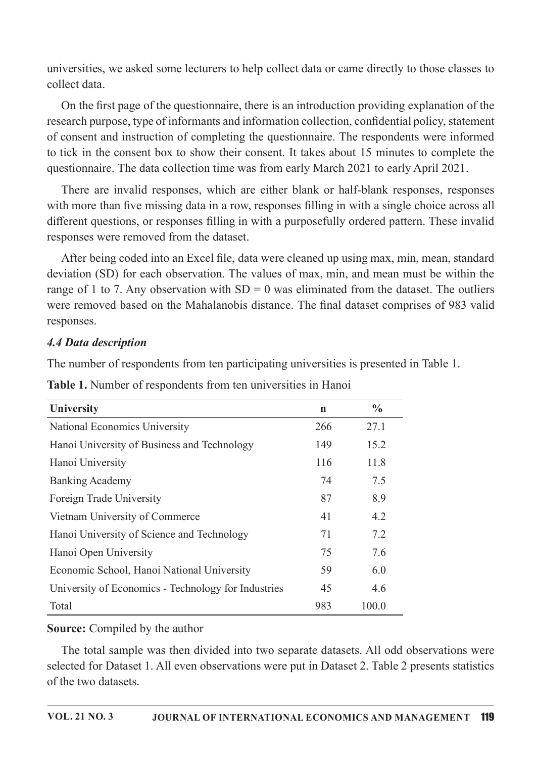universities, we asked some lecturers to help collect data or came directly to those classes to collect data

On the first page of the questionnaire, there is an introduction providing explanation of the research purpose, type of informants and information collection, confidential policy, statement of consent and instruction of completing the questionnaire. The respondents were informed to tick in the consent box to show their consent. It takes about 15 minutes to complete the questionnaire. The data collection time was from early March 2021 to early April 2021.

There are invalid responses, which are either blank or half-blank responses, responses with more than five missing data in a row, responses filling in with a single choice across all different questions, or responses filling in with a purposefully ordered pattern. These invalid responses were removed from the dataset.

After being coded into an Excel file, data were cleaned up using max, min, mean, standard deviation (SD) for each observation. The values of max, min, and mean must be within the range of 1 to 7. Any observation with  $SD = 0$  was eliminated from the dataset. The outliers were removed based on the Mahalanobis distance. The final dataset comprises of 983 valid responses.

#### **4.4 Data description**

The number of respondents from ten participating universities is presented in Table 1.

| University                                          | $\mathbf n$ | $\frac{6}{6}$ |
|-----------------------------------------------------|-------------|---------------|
| <b>National Economics University</b>                | 266         | 27.1          |
| Hanoi University of Business and Technology         | 149         | 15.2          |
| Hanoi University                                    | 116         | 11.8          |
| <b>Banking Academy</b>                              | 74          | 7.5           |
| Foreign Trade University                            | 87          | 8.9           |
| Vietnam University of Commerce                      | 41          | 4.2           |
| Hanoi University of Science and Technology          | 71          | 7.2           |
| Hanoi Open University                               | 75          | 7.6           |
| Economic School, Hanoi National University          | 59          | 6.0           |
| University of Economics - Technology for Industries | 45          | 4.6           |
| Total                                               | 983         | 100.0         |

Table 1. Number of respondents from ten universities in Hanoi

#### **Source:** Compiled by the author

The total sample was then divided into two separate datasets. All odd observations were selected for Dataset 1. All even observations were put in Dataset 2. Table 2 presents statistics of the two datasets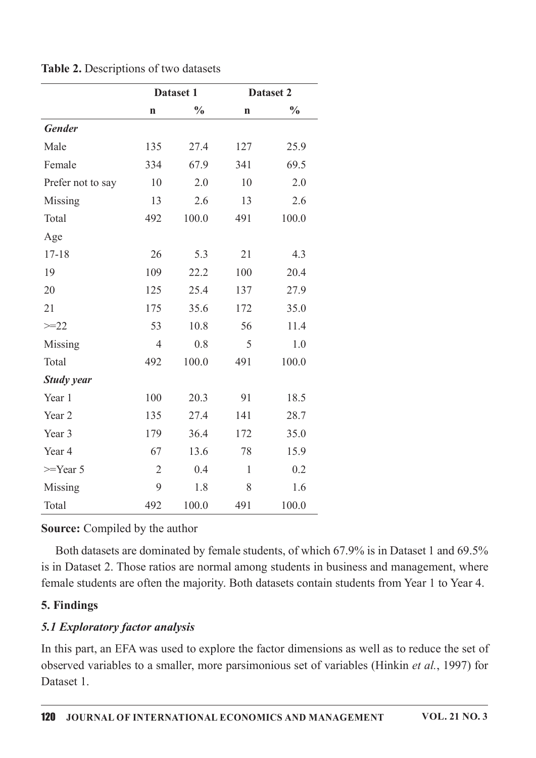|                   | Dataset 1      |               |              | Dataset 2     |
|-------------------|----------------|---------------|--------------|---------------|
|                   | $\mathbf n$    | $\frac{0}{0}$ |              | $\frac{0}{0}$ |
| <b>Gender</b>     |                |               |              |               |
| Male              | 135            | 27.4          | 127          | 25.9          |
| Female            | 334            | 67.9          | 341          | 69.5          |
| Prefer not to say | 10             | 2.0           | 10           | 2.0           |
| Missing           | 13             | 2.6           | 13           | 2.6           |
| Total             | 492            | 100.0         | 491          | 100.0         |
| Age               |                |               |              |               |
| $17 - 18$         | 26             | 5.3           | 21           | 4.3           |
| 19                | 109            | 22.2          | 100          | 20.4          |
| 20                | 125            | 25.4          | 137          | 27.9          |
| 21                | 175            | 35.6          | 172          | 35.0          |
| $>=22$            | 53             | 10.8          | 56           | 11.4          |
| Missing           | $\overline{4}$ | 0.8           | 5            | 1.0           |
| Total             | 492            | 100.0         | 491          | 100.0         |
| <b>Study year</b> |                |               |              |               |
| Year 1            | 100            | 20.3          | 91           | 18.5          |
| Year 2            | 135            | 27.4          | 141          | 28.7          |
| Year 3            | 179            | 36.4          | 172          | 35.0          |
| Year 4            | 67             | 13.6          | 78           | 15.9          |
| $>=$ Year 5       | $\overline{2}$ | 0.4           | $\mathbf{1}$ | 0.2           |
| Missing           | 9              | 1.8           | 8            | 1.6           |
| Total             | 492            | 100.0         | 491          | 100.0         |

Table 2. Descriptions of two datasets

**Source:** Compiled by the author

Both datasets are dominated by female students, of which 67.9% is in Dataset 1 and 69.5% is in Dataset 2. Those ratios are normal among students in business and management, where female students are often the majority. Both datasets contain students from Year 1 to Year 4.

# 5. Findings

# 5.1 Exploratory factor analysis

In this part, an EFA was used to explore the factor dimensions as well as to reduce the set of observed variables to a smaller, more parsimonious set of variables (Hinkin et al., 1997) for Dataset 1.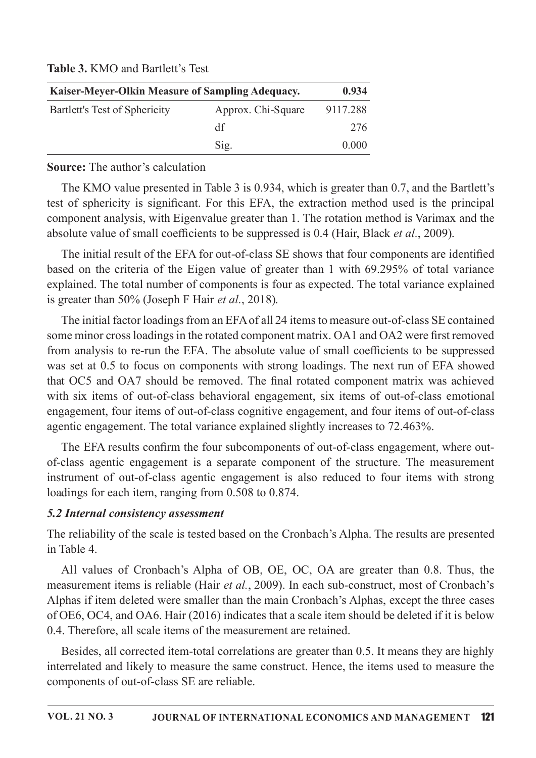Table 3, KMO and Bartlett's Test

| Kaiser-Meyer-Olkin Measure of Sampling Adequacy. | 0.934              |          |
|--------------------------------------------------|--------------------|----------|
| Bartlett's Test of Sphericity                    | Approx. Chi-Square | 9117.288 |
|                                                  | df                 | 276      |
|                                                  | Sig.               | 0.000    |

**Source:** The author's calculation

The KMO value presented in Table 3 is 0.934, which is greater than 0.7, and the Bartlett's test of sphericity is significant. For this EFA, the extraction method used is the principal component analysis, with Eigenvalue greater than 1. The rotation method is Varimax and the absolute value of small coefficients to be suppressed is 0.4 (Hair, Black *et al.*, 2009).

The initial result of the EFA for out-of-class SE shows that four components are identified based on the criteria of the Eigen value of greater than 1 with 69.295% of total variance explained. The total number of components is four as expected. The total variance explained is greater than 50% (Joseph F Hair *et al.*, 2018).

The initial factor loadings from an EFA of all 24 items to measure out-of-class SE contained some minor cross loadings in the rotated component matrix. OA1 and OA2 were first removed from analysis to re-run the EFA. The absolute value of small coefficients to be suppressed was set at 0.5 to focus on components with strong loadings. The next run of EFA showed that OC5 and OA7 should be removed. The final rotated component matrix was achieved with six items of out-of-class behavioral engagement, six items of out-of-class emotional engagement, four items of out-of-class cognitive engagement, and four items of out-of-class agentic engagement. The total variance explained slightly increases to 72.463%.

The EFA results confirm the four subcomponents of out-of-class engagement, where outof-class agentic engagement is a separate component of the structure. The measurement instrument of out-of-class agentic engagement is also reduced to four items with strong loadings for each item, ranging from 0.508 to 0.874.

# 5.2 Internal consistency assessment

The reliability of the scale is tested based on the Cronbach's Alpha. The results are presented in Table 4

All values of Cronbach's Alpha of OB, OE, OC, OA are greater than 0.8. Thus, the measurement items is reliable (Hair et al., 2009). In each sub-construct, most of Cronbach's Alphas if item deleted were smaller than the main Cronbach's Alphas, except the three cases of OE6, OC4, and OA6. Hair (2016) indicates that a scale item should be deleted if it is below 0.4. Therefore, all scale items of the measurement are retained.

Besides, all corrected item-total correlations are greater than 0.5. It means they are highly interrelated and likely to measure the same construct. Hence, the items used to measure the components of out-of-class SE are reliable.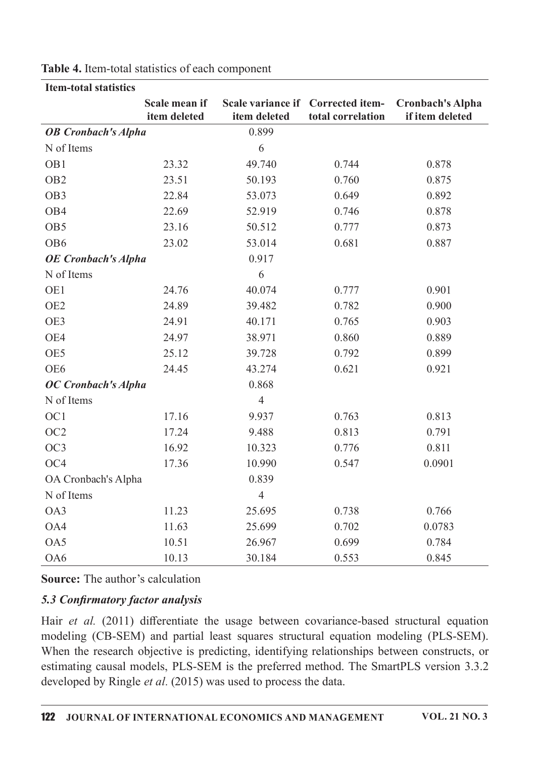|                            | Scale mean if<br>item deleted | item deleted   | Scale variance if Corrected item-<br>total correlation | <b>Cronbach's Alpha</b><br>if item deleted |
|----------------------------|-------------------------------|----------------|--------------------------------------------------------|--------------------------------------------|
| <b>OB</b> Cronbach's Alpha |                               | 0.899          |                                                        |                                            |
| N of Items                 |                               | 6              |                                                        |                                            |
| OB1                        | 23.32                         | 49.740         | 0.744                                                  | 0.878                                      |
| OB <sub>2</sub>            | 23.51                         | 50.193         | 0.760                                                  | 0.875                                      |
| OB <sub>3</sub>            | 22.84                         | 53.073         | 0.649                                                  | 0.892                                      |
| OB4                        | 22.69                         | 52.919         | 0.746                                                  | 0.878                                      |
| OB <sub>5</sub>            | 23.16                         | 50.512         | 0.777                                                  | 0.873                                      |
| OB <sub>6</sub>            | 23.02                         | 53.014         | 0.681                                                  | 0.887                                      |
| <b>OE</b> Cronbach's Alpha |                               | 0.917          |                                                        |                                            |
| N of Items                 |                               | 6              |                                                        |                                            |
| OE1                        | 24.76                         | 40.074         | 0.777                                                  | 0.901                                      |
| OE <sub>2</sub>            | 24.89                         | 39.482         | 0.782                                                  | 0.900                                      |
| OE3                        | 24.91                         | 40.171         | 0.765                                                  | 0.903                                      |
| OE4                        | 24.97                         | 38.971         | 0.860                                                  | 0.889                                      |
| OE5                        | 25.12                         | 39.728         | 0.792                                                  | 0.899                                      |
| OE <sub>6</sub>            | 24.45                         | 43.274         | 0.621                                                  | 0.921                                      |
| <b>OC</b> Cronbach's Alpha |                               | 0.868          |                                                        |                                            |
| N of Items                 |                               | $\overline{4}$ |                                                        |                                            |
| OC1                        | 17.16                         | 9.937          | 0.763                                                  | 0.813                                      |
| OC <sub>2</sub>            | 17.24                         | 9.488          | 0.813                                                  | 0.791                                      |
| OC3                        | 16.92                         | 10.323         | 0.776                                                  | 0.811                                      |
| OC <sub>4</sub>            | 17.36                         | 10.990         | 0.547                                                  | 0.0901                                     |
| OA Cronbach's Alpha        |                               | 0.839          |                                                        |                                            |
| N of Items                 |                               | $\overline{4}$ |                                                        |                                            |
| OA3                        | 11.23                         | 25.695         | 0.738                                                  | 0.766                                      |
| OA4                        | 11.63                         | 25.699         | 0.702                                                  | 0.0783                                     |
| OA5                        | 10.51                         | 26.967         | 0.699                                                  | 0.784                                      |
| OA6                        | 10.13                         | 30.184         | 0.553                                                  | 0.845                                      |

Table 4. Item-total statistics of each component

Item<sub>-total</sub> statistics

Source: The author's calculation

## 5.3 Confirmatory factor analysis

Hair et al.  $(2011)$  differentiate the usage between covariance-based structural equation modeling (CB-SEM) and partial least squares structural equation modeling (PLS-SEM). When the research objective is predicting, identifying relationships between constructs, or estimating causal models, PLS-SEM is the preferred method. The SmartPLS version 3.3.2 developed by Ringle *et al.* (2015) was used to process the data.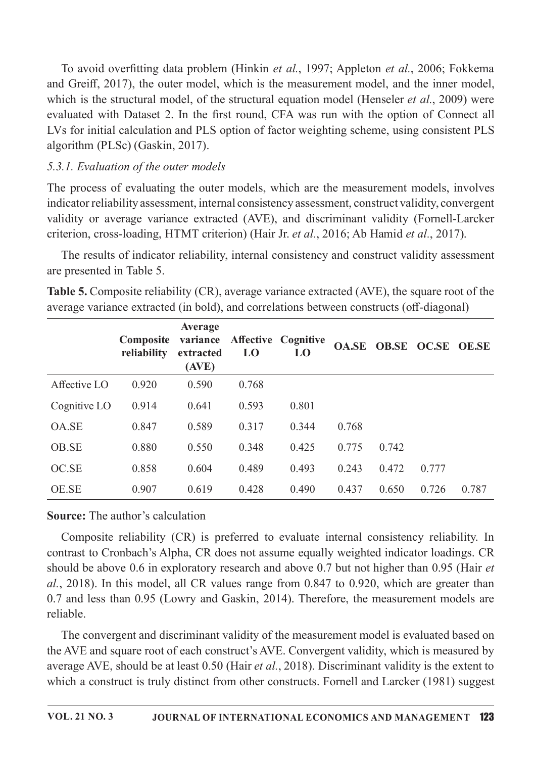To avoid overfitting data problem (Hinkin et al., 1997; Appleton et al., 2006; Fokkema and Greiff, 2017), the outer model, which is the measurement model, and the inner model, which is the structural model, of the structural equation model (Henseler *et al.*, 2009) were evaluated with Dataset 2. In the first round, CFA was run with the option of Connect all LVs for initial calculation and PLS option of factor weighting scheme, using consistent PLS algorithm (PLSc) (Gaskin, 2017).

## 5.3.1. Evaluation of the outer models

The process of evaluating the outer models, which are the measurement models, involves indicator reliability assessment, internal consistency assessment, construct validity, convergent validity or average variance extracted (AVE), and discriminant validity (Fornell-Larcker criterion, cross-loading, HTMT criterion) (Hair Jr. et al., 2016; Ab Hamid et al., 2017).

The results of indicator reliability, internal consistency and construct validity assessment are presented in Table 5.

**Table 5.** Composite reliability (CR), average variance extracted (AVE), the square root of the average variance extracted (in bold), and correlations between constructs (off-diagonal)

|              | Composite<br>reliability | Average<br>variance<br>extracted<br>(AVE) | L <sub>0</sub> | <b>Affective Cognitive</b><br>LO |       |       | OA.SE OB.SE OC.SE OE.SE |       |
|--------------|--------------------------|-------------------------------------------|----------------|----------------------------------|-------|-------|-------------------------|-------|
| Affective LO | 0.920                    | 0.590                                     | 0.768          |                                  |       |       |                         |       |
| Cognitive LO | 0.914                    | 0.641                                     | 0.593          | 0.801                            |       |       |                         |       |
| OA.SE        | 0.847                    | 0.589                                     | 0.317          | 0.344                            | 0.768 |       |                         |       |
| OB.SE        | 0.880                    | 0.550                                     | 0.348          | 0.425                            | 0.775 | 0.742 |                         |       |
| OC.SE        | 0.858                    | 0.604                                     | 0.489          | 0.493                            | 0.243 | 0.472 | 0.777                   |       |
| <b>OE.SE</b> | 0.907                    | 0.619                                     | 0.428          | 0.490                            | 0.437 | 0.650 | 0.726                   | 0.787 |

## **Source:** The author's calculation

Composite reliability (CR) is preferred to evaluate internal consistency reliability. In contrast to Cronbach's Alpha, CR does not assume equally weighted indicator loadings. CR should be above 0.6 in exploratory research and above 0.7 but not higher than 0.95 (Hair et al., 2018). In this model, all CR values range from 0.847 to 0.920, which are greater than 0.7 and less than 0.95 (Lowry and Gaskin, 2014). Therefore, the measurement models are reliable.

The convergent and discriminant validity of the measurement model is evaluated based on the AVE and square root of each construct's AVE. Convergent validity, which is measured by average AVE, should be at least 0.50 (Hair et al., 2018). Discriminant validity is the extent to which a construct is truly distinct from other constructs. Fornell and Larcker (1981) suggest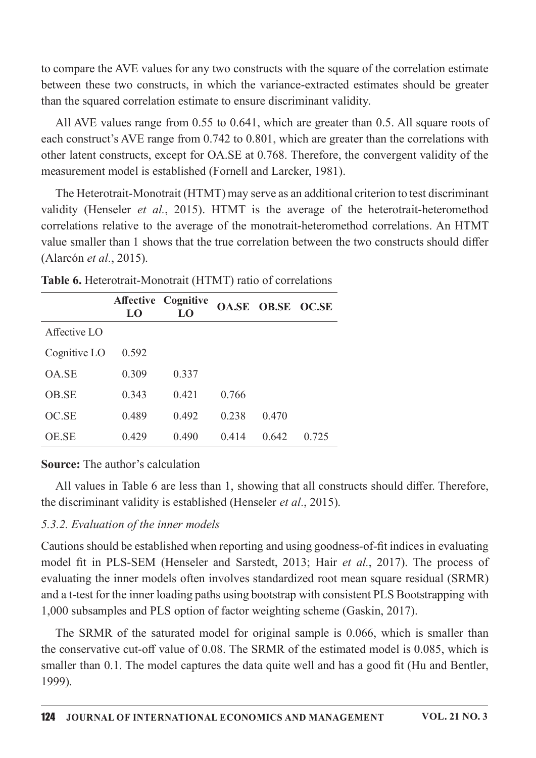to compare the AVE values for any two constructs with the square of the correlation estimate between these two constructs, in which the variance-extracted estimates should be greater than the squared correlation estimate to ensure discriminant validity.

All AVE values range from 0.55 to 0.641, which are greater than 0.5. All square roots of each construct's AVE range from 0.742 to 0.801, which are greater than the correlations with other latent constructs, except for OA.SE at 0.768. Therefore, the convergent validity of the measurement model is established (Fornell and Larcker, 1981).

The Heterotrait-Monotrait (HTMT) may serve as an additional criterion to test discriminant validity (Henseler *et al.*, 2015). HTMT is the average of the heterotrait-heteromethod correlations relative to the average of the monotrait-heteromethod correlations. An HTMT value smaller than 1 shows that the true correlation between the two constructs should differ (Alarcón et al., 2015).

|              | LO    | <b>Affective Cognitive</b><br>LO |       | OA.SE OB.SE OC.SE |       |
|--------------|-------|----------------------------------|-------|-------------------|-------|
| Affective LO |       |                                  |       |                   |       |
| Cognitive LO | 0.592 |                                  |       |                   |       |
| OA.SE        | 0.309 | 0.337                            |       |                   |       |
| OB.SE        | 0.343 | 0.421                            | 0.766 |                   |       |
| OC.SE        | 0.489 | 0.492                            | 0.238 | 0.470             |       |
| <b>OE.SE</b> | 0.429 | 0.490                            | 0.414 | 0.642             | 0.725 |

Table 6. Heterotrait-Monotrait (HTMT) ratio of correlations

## **Source:** The author's calculation

All values in Table 6 are less than 1, showing that all constructs should differ. Therefore, the discriminant validity is established (Henseler *et al.*, 2015).

## 5.3.2. Evaluation of the inner models

Cautions should be established when reporting and using goodness-of-fit indices in evaluating model fit in PLS-SEM (Henseler and Sarstedt, 2013; Hair et al., 2017). The process of evaluating the inner models often involves standardized root mean square residual (SRMR) and a t-test for the inner loading paths using bootstrap with consistent PLS Bootstrapping with 1,000 subsamples and PLS option of factor weighting scheme (Gaskin, 2017).

The SRMR of the saturated model for original sample is 0.066, which is smaller than the conservative cut-off value of 0.08. The SRMR of the estimated model is 0.085, which is smaller than 0.1. The model captures the data quite well and has a good fit (Hu and Bentler, 1999).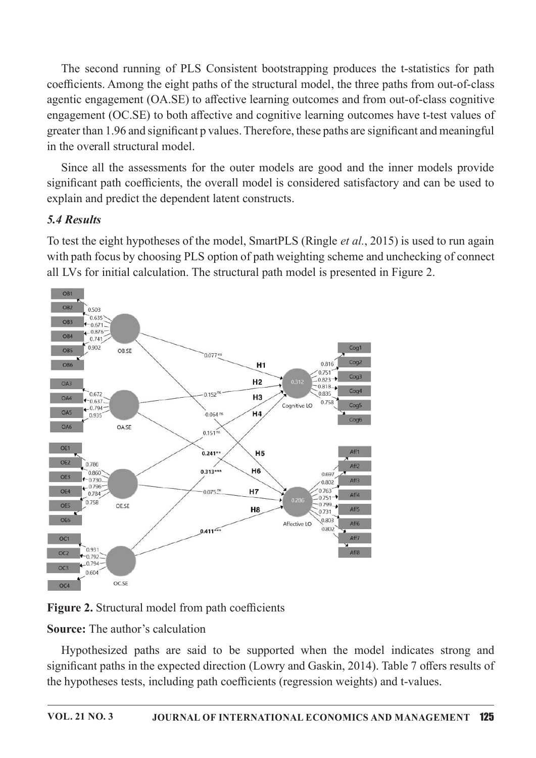The second running of PLS Consistent bootstrapping produces the t-statistics for path coefficients. Among the eight paths of the structural model, the three paths from out-of-class agentic engagement (OA.SE) to affective learning outcomes and from out-of-class cognitive engagement (OC.SE) to both affective and cognitive learning outcomes have t-test values of greater than 1.96 and significant p values. Therefore, these paths are significant and meaningful in the overall structural model.

Since all the assessments for the outer models are good and the inner models provide significant path coefficients, the overall model is considered satisfactory and can be used to explain and predict the dependent latent constructs.

# 5.4 Results

To test the eight hypotheses of the model, SmartPLS (Ringle et al., 2015) is used to run again with path focus by choosing PLS option of path weighting scheme and unchecking of connect all LVs for initial calculation. The structural path model is presented in Figure 2.



Figure 2. Structural model from path coefficients

**Source:** The author's calculation

Hypothesized paths are said to be supported when the model indicates strong and significant paths in the expected direction (Lowry and Gaskin, 2014). Table 7 offers results of the hypotheses tests, including path coefficients (regression weights) and t-values.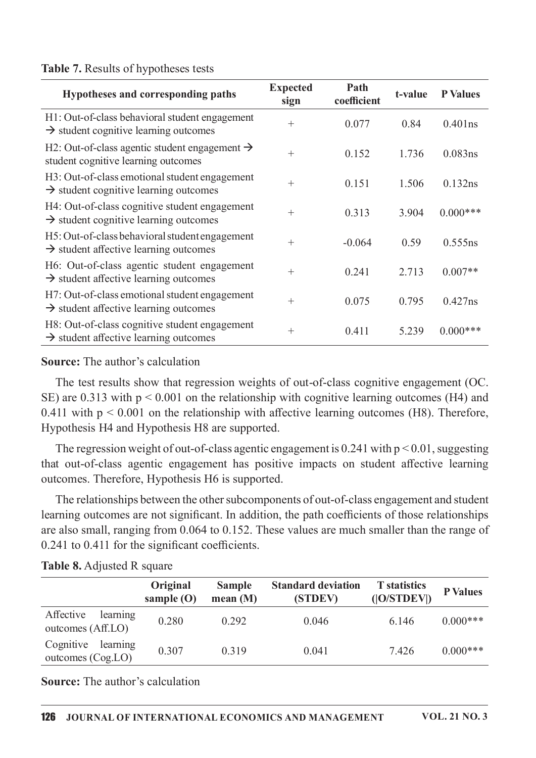#### Table 7. Results of hypotheses tests

| Hypotheses and corresponding paths                                                                  | <b>Expected</b><br>sign | Path<br>coefficient | t-value | <b>P</b> Values |
|-----------------------------------------------------------------------------------------------------|-------------------------|---------------------|---------|-----------------|
| H1: Out-of-class behavioral student engagement<br>$\rightarrow$ student cognitive learning outcomes | $^{+}$                  | 0.077               | 0.84    | $0.401$ ns      |
| H2: Out-of-class agentic student engagement $\rightarrow$<br>student cognitive learning outcomes    | $^{+}$                  | 0.152               | 1.736   | $0.083$ ns      |
| H3: Out-of-class emotional student engagement<br>$\rightarrow$ student cognitive learning outcomes  | $^{+}$                  | 0.151               | 1.506   | 0.132ns         |
| H4: Out-of-class cognitive student engagement<br>$\rightarrow$ student cognitive learning outcomes  | $^{+}$                  | 0.313               | 3.904   | $0.000***$      |
| H5: Out-of-class behavioral student engagement<br>$\rightarrow$ student affective learning outcomes | $^{+}$                  | $-0.064$            | 0.59    | 0.555ns         |
| H6: Out-of-class agentic student engagement<br>$\rightarrow$ student affective learning outcomes    | $^{+}$                  | 0.241               | 2.713   | $0.007**$       |
| H7: Out-of-class emotional student engagement<br>$\rightarrow$ student affective learning outcomes  | $^{+}$                  | 0.075               | 0.795   | $0.427$ ns      |
| H8: Out-of-class cognitive student engagement<br>$\rightarrow$ student affective learning outcomes  | $^{+}$                  | 0.411               | 5.239   | $0.000***$      |

#### **Source:** The author's calculation

The test results show that regression weights of out-of-class cognitive engagement (OC. SE) are 0.313 with  $p < 0.001$  on the relationship with cognitive learning outcomes (H4) and 0.411 with  $p \le 0.001$  on the relationship with affective learning outcomes (H8). Therefore, Hypothesis H4 and Hypothesis H8 are supported.

The regression weight of out-of-class agentic engagement is  $0.241$  with  $p < 0.01$ , suggesting that out-of-class agentic engagement has positive impacts on student affective learning outcomes. Therefore, Hypothesis H6 is supported.

The relationships between the other subcomponents of out-of-class engagement and student learning outcomes are not significant. In addition, the path coefficients of those relationships are also small, ranging from 0.064 to 0.152. These values are much smaller than the range of  $0.241$  to  $0.411$  for the significant coefficients.

Table 8. Adjusted R square

|                                              | Original<br>sample $(O)$ | <b>Sample</b><br>mean $(M)$ | <b>Standard deviation</b><br>(STDEV) | <b>T</b> statistics<br>( O/STDEV ) | <b>P</b> Values |
|----------------------------------------------|--------------------------|-----------------------------|--------------------------------------|------------------------------------|-----------------|
| learning<br>Affective<br>outcomes (Aff.LO)   | 0.280                    | 0.292                       | 0.046                                | 6.146                              | $0.000***$      |
| Cognitive<br>learning<br>outcomes $(Cog.LO)$ | 0.307                    | 0.319                       | 0.041                                | 7.426                              | $0.000***$      |

**Source:** The author's calculation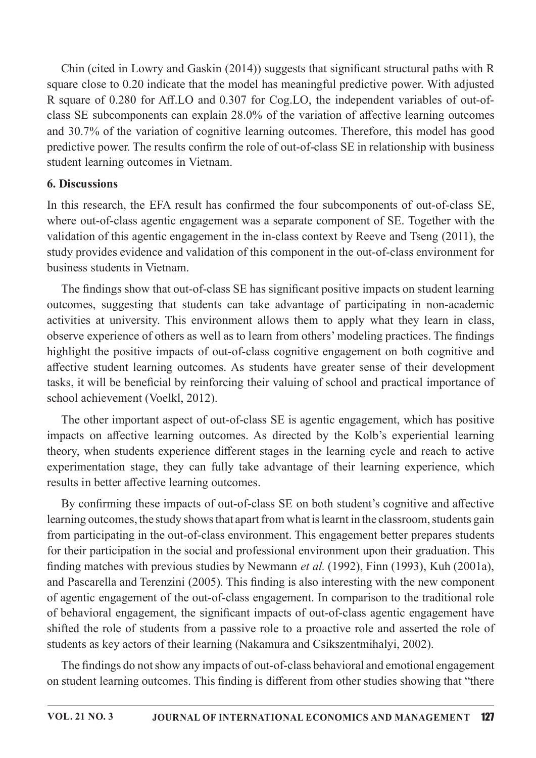Chin (cited in Lowry and Gaskin  $(2014)$ ) suggests that significant structural paths with R square close to 0.20 indicate that the model has meaningful predictive power. With adjusted R square of 0.280 for Aff.LO and 0.307 for Cog.LO, the independent variables of out-ofclass SE subcomponents can explain  $28.0\%$  of the variation of affective learning outcomes and 30.7% of the variation of cognitive learning outcomes. Therefore, this model has good predictive power. The results confirm the role of out-of-class SE in relationship with business student learning outcomes in Vietnam.

#### 6. Discussions

In this research, the EFA result has confirmed the four subcomponents of out-of-class SE, where out-of-class agentic engagement was a separate component of SE. Together with the validation of this agentic engagement in the in-class context by Reeve and Tseng (2011), the study provides evidence and validation of this component in the out-of-class environment for business students in Vietnam.

The findings show that out-of-class SE has significant positive impacts on student learning outcomes, suggesting that students can take advantage of participating in non-academic activities at university. This environment allows them to apply what they learn in class, observe experience of others as well as to learn from others' modeling practices. The findings highlight the positive impacts of out-of-class cognitive engagement on both cognitive and affective student learning outcomes. As students have greater sense of their development tasks, it will be beneficial by reinforcing their valuing of school and practical importance of school achievement (Voelkl, 2012).

The other important aspect of out-of-class SE is agentic engagement, which has positive impacts on affective learning outcomes. As directed by the Kolb's experiential learning theory, when students experience different stages in the learning cycle and reach to active experimentation stage, they can fully take advantage of their learning experience, which results in better affective learning outcomes.

By confirming these impacts of out-of-class SE on both student's cognitive and affective learning outcomes, the study shows that apart from what is learnt in the classroom, students gain from participating in the out-of-class environment. This engagement better prepares students for their participation in the social and professional environment upon their graduation. This finding matches with previous studies by Newmann et al. (1992), Finn (1993), Kuh (2001a), and Pascarella and Terenzini (2005). This finding is also interesting with the new component of agentic engagement of the out-of-class engagement. In comparison to the traditional role of behavioral engagement, the significant impacts of out-of-class agentic engagement have shifted the role of students from a passive role to a proactive role and asserted the role of students as key actors of their learning (Nakamura and Csikszentmihalyi, 2002).

The findings do not show any impacts of out-of-class behavioral and emotional engagement on student learning outcomes. This finding is different from other studies showing that "there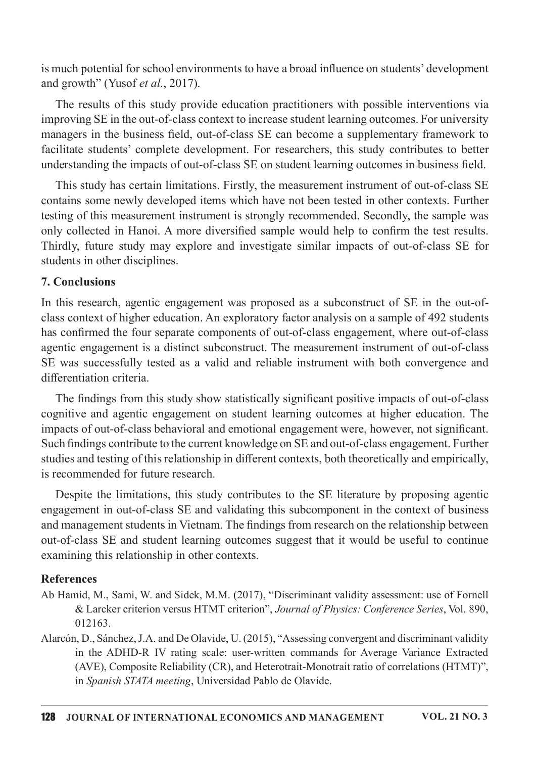is much potential for school environments to have a broad influence on students' development and growth" (Yusof et al., 2017).

The results of this study provide education practitioners with possible interventions via improving SE in the out-of-class context to increase student learning outcomes. For university managers in the business field, out-of-class SE can become a supplementary framework to facilitate students' complete development. For researchers, this study contributes to better understanding the impacts of out-of-class SE on student learning outcomes in business field.

This study has certain limitations. Firstly, the measurement instrument of out-of-class SE contains some newly developed items which have not been tested in other contexts. Further testing of this measurement instrument is strongly recommended. Secondly, the sample was only collected in Hanoi. A more diversified sample would help to confirm the test results. Thirdly, future study may explore and investigate similar impacts of out-of-class SE for students in other disciplines.

#### 7. Conclusions

In this research, agentic engagement was proposed as a subconstruct of SE in the out-ofclass context of higher education. An exploratory factor analysis on a sample of 492 students has confirmed the four separate components of out-of-class engagement, where out-of-class agentic engagement is a distinct subconstruct. The measurement instrument of out-of-class SE was successfully tested as a valid and reliable instrument with both convergence and differentiation criteria.

The findings from this study show statistically significant positive impacts of out-of-class cognitive and agentic engagement on student learning outcomes at higher education. The impacts of out-of-class behavioral and emotional engagement were, however, not significant. Such findings contribute to the current knowledge on SE and out-of-class engagement. Further studies and testing of this relationship in different contexts, both theoretically and empirically, is recommended for future research.

Despite the limitations, this study contributes to the SE literature by proposing agentic engagement in out-of-class SE and validating this subcomponent in the context of business and management students in Vietnam. The findings from research on the relationship between out-of-class SE and student learning outcomes suggest that it would be useful to continue examining this relationship in other contexts.

## **References**

- Ab Hamid, M., Sami, W. and Sidek, M.M. (2017), "Discriminant validity assessment: use of Fornell & Larcker criterion versus HTMT criterion", Journal of Physics: Conference Series, Vol. 890, 012163.
- Alarcón, D., Sánchez, J.A. and De Olavide, U. (2015), "Assessing convergent and discriminant validity in the ADHD-R IV rating scale: user-written commands for Average Variance Extracted (AVE), Composite Reliability (CR), and Heterotrait-Monotrait ratio of correlations (HTMT)", in Spanish STATA meeting, Universidad Pablo de Olavide.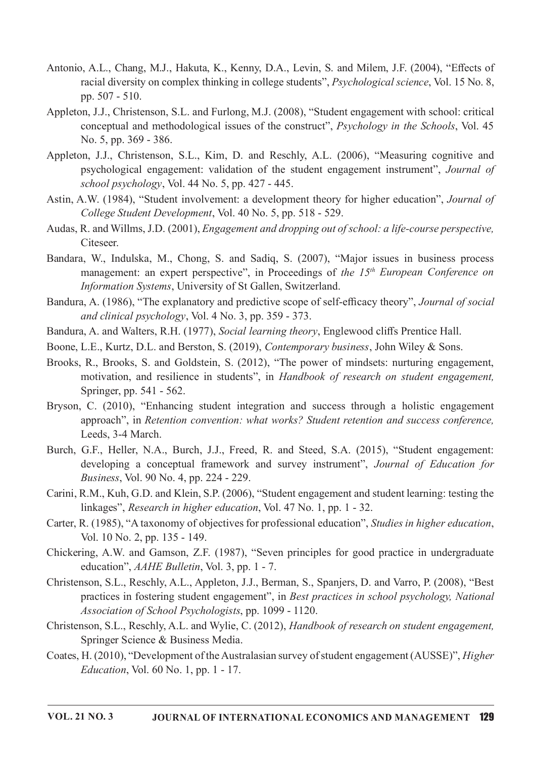- Antonio, A.L., Chang, M.J., Hakuta, K., Kenny, D.A., Levin, S. and Milem, J.F. (2004), "Effects of racial diversity on complex thinking in college students", *Psychological science*, Vol. 15 No. 8, pp.  $507 - 510$ .
- Appleton, J.J., Christenson, S.L. and Furlong, M.J. (2008), "Student engagement with school: critical conceptual and methodological issues of the construct", Psychology in the Schools, Vol. 45 No.5,pp.369-386.
- Appleton, J.J., Christenson, S.L., Kim, D. and Reschly, A.L. (2006), "Measuring cognitive and psychological engagement: validation of the student engagement instrument", Journal of school psychology, Vol. 44 No. 5, pp. 427 - 445.
- Astin, A.W. (1984), "Student involvement: a development theory for higher education", *Journal of* College Student Development, Vol. 40 No. 5, pp. 518 - 529.
- Audas, R. and Willms, J.D. (2001), *Engagement and dropping out of school: a life-course perspective*, Citeseer.
- Bandara, W., Indulska, M., Chong, S. and Sadiq, S. (2007), "Major issues in business process management: an expert perspective", in Proceedings of the 15<sup>th</sup> European Conference on Information Systems, University of St Gallen, Switzerland.
- Bandura, A. (1986), "The explanatory and predictive scope of self-efficacy theory", Journal of social and clinical psychology, Vol.  $4$  No.  $3$ , pp.  $359 - 373$ .
- Bandura, A. and Walters, R.H. (1977), Social learning theory, Englewood cliffs Prentice Hall.
- Boone, L.E., Kurtz, D.L. and Berston, S. (2019), Contemporary business, John Wiley & Sons.
- Brooks, R., Brooks, S. and Goldstein, S. (2012), "The power of mindsets: nurturing engagement, motivation, and resilience in students", in Handbook of research on student engagement, Springer, pp. 541 - 562.
- Bryson, C. (2010), "Enhancing student integration and success through a holistic engagement approach", in Retention convention: what works? Student retention and success conference, Leeds, 3-4 March.
- Burch, G.F., Heller, N.A., Burch, J.J., Freed, R. and Steed, S.A. (2015), "Student engagement: developing a conceptual framework and survey instrument", Journal of Education for *Business, Vol. 90 No. 4, pp. 224 - 229.*
- Carini, R.M., Kuh, G.D. and Klein, S.P. (2006), "Student engagement and student learning: testing the linkages", Research in higher education, Vol. 47 No. 1, pp.  $1 - 32$ .
- Carter, R. (1985), "A taxonomy of objectives for professional education", *Studies in higher education*, Vol.10No.2,pp.135-149.
- Chickering, A.W. and Gamson, Z.F. (1987), "Seven principles for good practice in undergraduate education", AAHE Bulletin, Vol. 3, pp. 1 - 7.
- Christenson, S.L., Reschly, A.L., Appleton, J.J., Berman, S., Spanjers, D. and Varro, P. (2008), "Best practices in fostering student engagement", in Best practices in school psychology, National Association of School Psychologists, pp. 1099 - 1120.
- Christenson, S.L., Reschly, A.L. and Wylie, C. (2012), Handbook of research on student engagement, Springer Science & Business Media.
- Coates, H. (2010), "Development of the Australasian survey of student engagement (AUSSE)", *Higher*  $Education$ , Vol. 60 No. 1, pp. 1 - 17.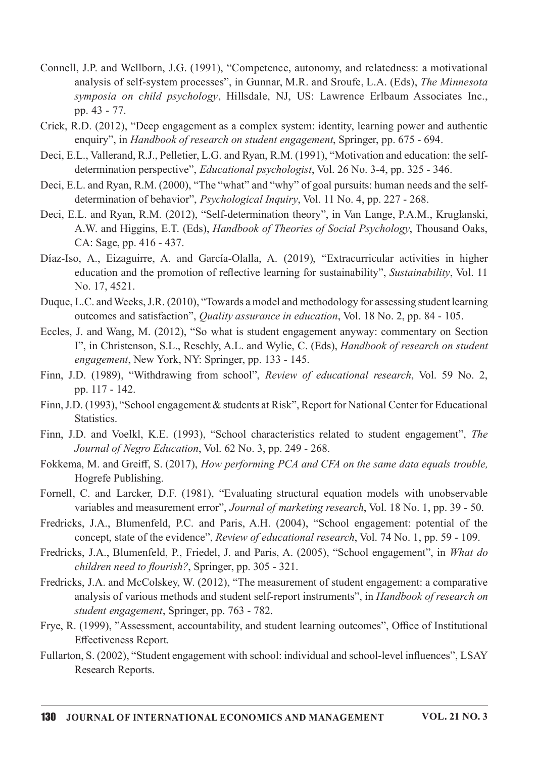- Connell, J.P. and Wellborn, J.G. (1991), "Competence, autonomy, and relatedness: a motivational analysis of self-system processes", in Gunnar, M.R. and Sroufe, L.A. (Eds), The Minnesota symposia on child psychology, Hillsdale, NJ, US: Lawrence Erlbaum Associates Inc., pp. 43 - 77.
- Crick, R.D. (2012), "Deep engagement as a complex system: identity, learning power and authentic enquiry", in Handbook of research on student engagement, Springer, pp. 675 - 694.
- Deci, E.L., Vallerand, R.J., Pelletier, L.G. and Ryan, R.M. (1991), "Motivation and education: the selfdetermination perspective", *Educational psychologist*, Vol. 26 No. 3-4, pp. 325 - 346.
- Deci, E.L. and Ryan, R.M. (2000), "The "what" and "why" of goal pursuits: human needs and the selfdetermination of behavior", *Psychological Inquiry*, Vol. 11 No. 4, pp. 227 - 268.
- Deci, E.L. and Ryan, R.M. (2012), "Self-determination theory", in Van Lange, P.A.M., Kruglanski, A.W. and Higgins, E.T. (Eds), Handbook of Theories of Social Psychology, Thousand Oaks, CA: Sage, pp. 416 - 437.
- Díaz-Iso, A., Eizaguirre, A. and García-Olalla, A. (2019), "Extracurricular activities in higher education and the promotion of reflective learning for sustainability", Sustainability, Vol. 11 No. 17, 4521.
- Duque, L.C. and Weeks, J.R. (2010), "Towards a model and methodology for assessing student learning outcomes and satisfaction", *Quality assurance in education*, Vol. 18 No. 2, pp. 84 - 105.
- Eccles, J. and Wang, M. (2012), "So what is student engagement anyway: commentary on Section I", in Christenson, S.L., Reschly, A.L. and Wylie, C. (Eds), Handbook of research on student engagement, New York, NY: Springer, pp. 133 - 145.
- Finn, J.D. (1989), "Withdrawing from school", Review of educational research, Vol. 59 No. 2, pp. 117 - 142.
- Finn, J.D. (1993), "School engagement & students at Risk", Report for National Center for Educational Statistics.
- Finn, J.D. and Voelkl, K.E. (1993), "School characteristics related to student engagement", The Journal of Negro Education, Vol. 62 No. 3, pp. 249 - 268.
- Fokkema, M. and Greiff, S. (2017), How performing PCA and CFA on the same data equals trouble, Hogrefe Publishing.
- Fornell, C. and Larcker, D.F. (1981), "Evaluating structural equation models with unobservable variables and measurement error", Journal of marketing research, Vol. 18 No. 1, pp. 39 - 50.
- Fredricks, J.A., Blumenfeld, P.C. and Paris, A.H. (2004), "School engagement: potential of the concept, state of the evidence", *Review of educational research*, Vol. 74 No. 1, pp. 59 - 109.
- Fredricks, J.A., Blumenfeld, P., Friedel, J. and Paris, A. (2005), "School engagement", in What do children need to flourish?, Springer, pp. 305 - 321.
- Fredricks, J.A. and McColskey, W. (2012), "The measurement of student engagement: a comparative analysis of various methods and student self-report instruments", in Handbook of research on student engagement, Springer, pp. 763 - 782.
- Frye, R. (1999), "Assessment, accountability, and student learning outcomes", Office of Institutional Effectiveness Report.
- Fullarton, S. (2002), "Student engagement with school: individual and school-level influences", LSAY Research Reports.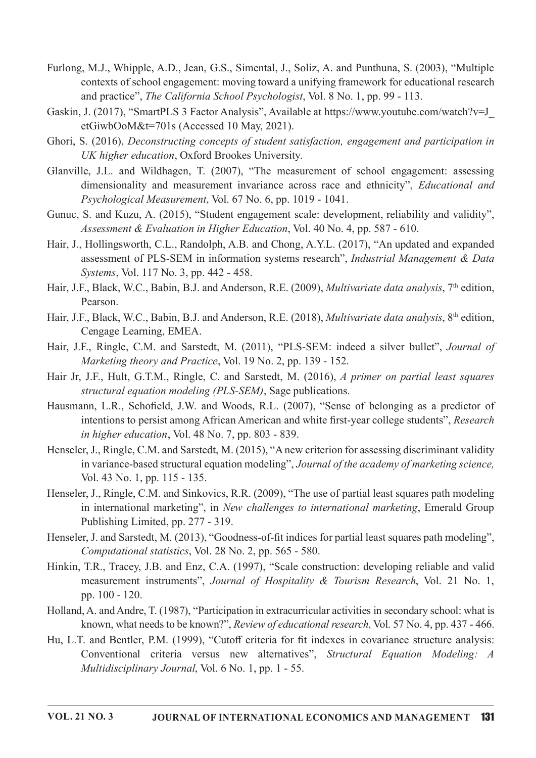- Furlong, M.J., Whipple, A.D., Jean, G.S., Simental, J., Soliz, A. and Punthuna, S. (2003), "Multiple contexts of school engagement: moving toward a unifying framework for educational research and practice", *The California School Psychologist*, Vol. 8 No. 1, pp. 99 - 113.
- Gaskin, J. (2017), "SmartPLS 3 Factor Analysis", Available at https://www.youtube.com/watch?v=J etGiwbOoM&t=701s (Accessed 10 May, 2021).
- Ghori, S. (2016), Deconstructing concepts of student satisfaction, engagement and participation in UK higher education, Oxford Brookes University.
- Glanville, J.L. and Wildhagen, T. (2007), "The measurement of school engagement: assessing dimensionality and measurement invariance across race and ethnicity", Educational and Psychological Measurement, Vol. 67 No. 6, pp. 1019 - 1041.
- Gunuc, S. and Kuzu, A. (2015), "Student engagement scale: development, reliability and validity", Assessment & Evaluation in Higher Education, Vol. 40 No. 4, pp. 587 - 610.
- Hair, J., Hollingsworth, C.L., Randolph, A.B. and Chong, A.Y.L. (2017), "An updated and expanded assessment of PLS-SEM in information systems research", Industrial Management & Data Systems, Vol. 117 No. 3, pp. 442 - 458.
- Hair, J.F., Black, W.C., Babin, B.J. and Anderson, R.E. (2009), *Multivariate data analysis*, 7<sup>th</sup> edition, Pearson.
- Hair, J.F., Black, W.C., Babin, B.J. and Anderson, R.E. (2018), *Multivariate data analysis*, 8<sup>th</sup> edition, Cengage Learning, EMEA.
- Hair, J.F., Ringle, C.M. and Sarstedt, M. (2011), "PLS-SEM: indeed a silver bullet", Journal of Marketing theory and Practice, Vol. 19 No. 2, pp. 139 - 152.
- Hair Jr, J.F., Hult, G.T.M., Ringle, C. and Sarstedt, M. (2016), A primer on partial least squares structural equation modeling (PLS-SEM), Sage publications.
- Hausmann, L.R., Schofield, J.W. and Woods, R.L. (2007), "Sense of belonging as a predictor of intentions to persist among African American and white first-year college students", Research in higher education, Vol. 48 No. 7, pp. 803 - 839.
- Henseler, J., Ringle, C.M. and Sarstedt, M. (2015), "A new criterion for assessing discriminant validity in variance-based structural equation modeling", Journal of the academy of marketing science, Vol.43No.1,pp.115-135.
- Henseler, J., Ringle, C.M. and Sinkovics, R.R. (2009), "The use of partial least squares path modeling in international marketing", in New challenges to international marketing, Emerald Group Publishing Limited, pp. 277 - 319.
- Henseler, J. and Sarstedt, M. (2013), "Goodness-of-fit indices for partial least squares path modeling", Computational statistics, Vol. 28 No. 2, pp. 565 - 580.
- Hinkin, T.R., Tracey, J.B. and Enz, C.A. (1997), "Scale construction: developing reliable and valid measurement instruments", Journal of Hospitality & Tourism Research, Vol. 21 No. 1, pp. 100 - 120.
- Holland, A. and Andre, T. (1987), "Participation in extracurricular activities in secondary school: what is known, what needs to be known?", Review of educational research, Vol. 57 No. 4, pp. 437 - 466.
- Hu, L.T. and Bentler, P.M. (1999), "Cutoff criteria for fit indexes in covariance structure analysis: Conventional criteria versus new alternatives", Structural Equation Modeling: A Multidisciplinary Journal, Vol. 6 No. 1, pp. 1 - 55.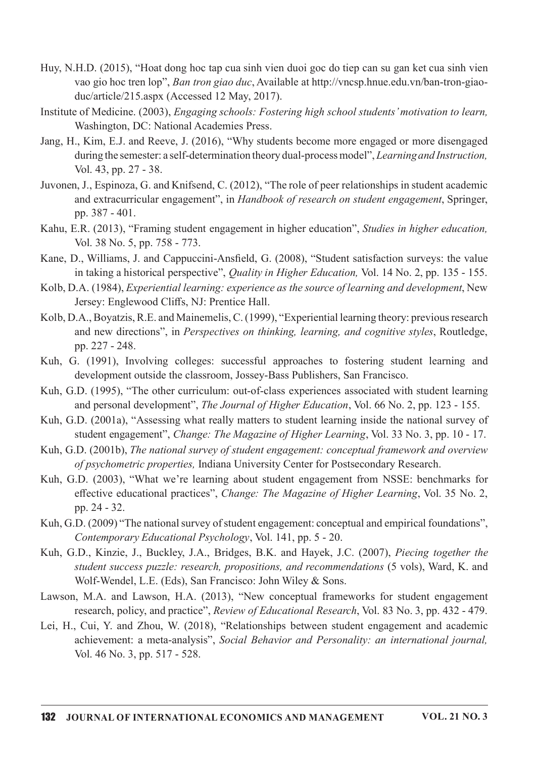- Huy, N.H.D. (2015), "Hoat dong hoc tap cua sinh vien duoi goc do tiep can su gan ket cua sinh vien vao gio hoc tren lop", Ban tron giao duc, Available at http://vncsp.hnue.edu.vn/ban-tron-giaoduc/article/215.aspx (Accessed 12 May, 2017).
- Institute of Medicine. (2003), Engaging schools: Fostering high school students' motivation to learn, Washington, DC: National Academies Press.
- Jang, H., Kim, E.J. and Reeve, J. (2016), "Why students become more engaged or more disengaged during the semester: a self-determination theory dual-process model", Learning and Instruction, Vol.43,pp.27-38.
- Juvonen, J., Espinoza, G. and Knifsend, C. (2012), "The role of peer relationships in student academic and extracurricular engagement", in Handbook of research on student engagement, Springer, pp. 387 - 401.
- Kahu, E.R. (2013), "Framing student engagement in higher education", Studies in higher education, Vol.38No.5,pp.758-773.
- Kane, D., Williams, J. and Cappuccini-Ansfield, G. (2008), "Student satisfaction surveys: the value in taking a historical perspective", Quality in Higher Education, Vol. 14 No. 2, pp. 135 - 155.
- Kolb, D.A. (1984), *Experiential learning: experience as the source of learning and development*, New Jersey: Englewood Cliffs, NJ: Prentice Hall.
- Kolb, D.A., Boyatzis, R.E. and Mainemelis, C. (1999), "Experiential learning theory: previous research and new directions", in Perspectives on thinking, learning, and cognitive styles, Routledge, pp. 227 - 248.
- Kuh, G. (1991), Involving colleges: successful approaches to fostering student learning and development outside the classroom, Jossey-Bass Publishers, San Francisco.
- Kuh, G.D. (1995), "The other curriculum: out-of-class experiences associated with student learning and personal development", The Journal of Higher Education, Vol. 66 No. 2, pp. 123 - 155.
- Kuh, G.D. (2001a), "Assessing what really matters to student learning inside the national survey of student engagement", Change: The Magazine of Higher Learning, Vol. 33 No. 3, pp. 10 - 17.
- Kuh, G.D. (2001b), The national survey of student engagement: conceptual framework and overview of psychometric properties, Indiana University Center for Postsecondary Research.
- Kuh, G.D. (2003), "What we're learning about student engagement from NSSE: benchmarks for effective educational practices", Change: The Magazine of Higher Learning, Vol. 35 No. 2, pp. 24 - 32.
- Kuh, G.D. (2009) "The national survey of student engagement: conceptual and empirical foundations", Contemporary Educational Psychology, Vol. 141, pp. 5 - 20.
- Kuh, G.D., Kinzie, J., Buckley, J.A., Bridges, B.K. and Hayek, J.C. (2007), Piecing together the student success puzzle: research, propositions, and recommendations (5 vols), Ward, K. and Wolf-Wendel, L.E. (Eds), San Francisco: John Wiley & Sons.
- Lawson, M.A. and Lawson, H.A. (2013), "New conceptual frameworks for student engagement research, policy, and practice", *Review of Educational Research*, Vol. 83 No. 3, pp. 432 - 479.
- Lei, H., Cui, Y. and Zhou, W. (2018), "Relationships between student engagement and academic achievement: a meta-analysis", Social Behavior and Personality: an international journal, Vol.46No.3,pp.517-528.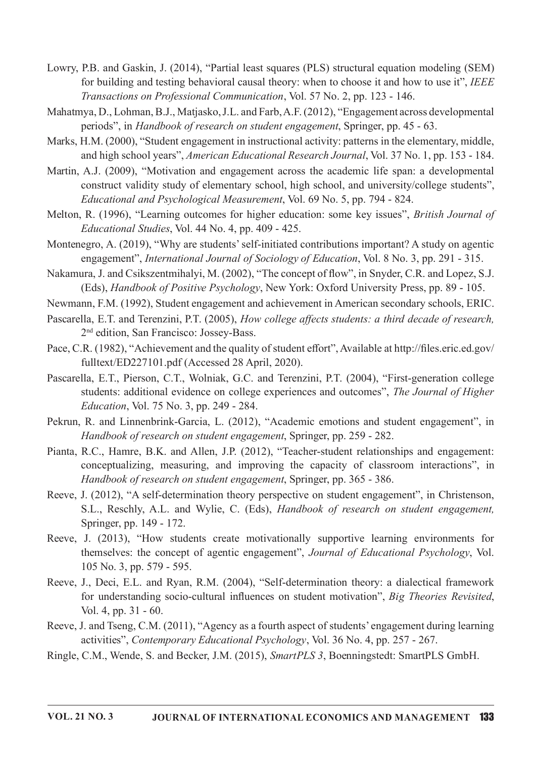- Lowry, P.B. and Gaskin, J. (2014), "Partial least squares (PLS) structural equation modeling (SEM) for building and testing behavioral causal theory: when to choose it and how to use it", IEEE Transactions on Professional Communication, Vol. 57 No. 2, pp. 123 - 146.
- Mahatmya, D., Lohman, B.J., Matjasko, J.L. and Farb, A.F. (2012), "Engagement across developmental periods", in Handbook of research on student engagement, Springer, pp. 45 - 63.
- Marks, H.M. (2000), "Student engagement in instructional activity: patterns in the elementary, middle, and high school years", *American Educational Research Journal*, Vol. 37 No. 1, pp. 153 - 184.
- Martin, A.J. (2009), "Motivation and engagement across the academic life span: a developmental construct validity study of elementary school, high school, and university/college students", Educational and Psychological Measurement, Vol. 69 No. 5, pp. 794 - 824.
- Melton, R. (1996), "Learning outcomes for higher education: some key issues", *British Journal of* Educational Studies, Vol. 44 No. 4, pp. 409 - 425.
- Montenegro, A. (2019), "Why are students' self-initiated contributions important? A study on agentic engagement", International Journal of Sociology of Education, Vol. 8 No. 3, pp. 291 - 315.
- Nakamura, J. and Csikszentmihalyi, M. (2002), "The concept of flow", in Snyder, C.R. and Lopez, S.J. (Eds), Handbook of Positive Psychology, New York: Oxford University Press, pp. 89 - 105.
- Newmann, F.M. (1992), Student engagement and achievement in American secondary schools, ERIC.
- Pascarella, E.T. and Terenzini, P.T. (2005), How college affects students: a third decade of research, 2<sup>nd</sup> edition, San Francisco: Jossey-Bass.
- Pace, C.R. (1982), "Achievement and the quality of student effort", Available at http://files.eric.ed.gov/ fulltext/ED227101.pdf (Accessed 28 April, 2020).
- Pascarella, E.T., Pierson, C.T., Wolniak, G.C. and Terenzini, P.T. (2004), "First-generation college students: additional evidence on college experiences and outcomes", The Journal of Higher *Education*, Vol. 75 No. 3, pp. 249 - 284.
- Pekrun, R. and Linnenbrink-Garcia, L. (2012), "Academic emotions and student engagement", in Handbook of research on student engagement, Springer, pp. 259 - 282.
- Pianta, R.C., Hamre, B.K. and Allen, J.P. (2012), "Teacher-student relationships and engagement: conceptualizing, measuring, and improving the capacity of classroom interactions", in Handbook of research on student engagement, Springer, pp. 365 - 386.
- Reeve, J. (2012), "A self-determination theory perspective on student engagement", in Christenson, S.L., Reschly, A.L. and Wylie, C. (Eds), Handbook of research on student engagement, Springer, pp. 149 - 172.
- Reeve, J. (2013), "How students create motivationally supportive learning environments for themselves: the concept of agentic engagement", Journal of Educational Psychology, Vol. 105 No. 3, pp. 579 - 595.
- Reeve, J., Deci, E.L. and Ryan, R.M. (2004), "Self-determination theory: a dialectical framework for understanding socio-cultural influences on student motivation", Big Theories Revisited, Vol.4,pp.31-60.
- Reeve, J. and Tseng, C.M. (2011), "Agency as a fourth aspect of students' engagement during learning activities", Contemporary Educational Psychology, Vol. 36 No. 4, pp. 257 - 267.
- Ringle, C.M., Wende, S. and Becker, J.M. (2015), SmartPLS 3, Boenningstedt: SmartPLS GmbH.